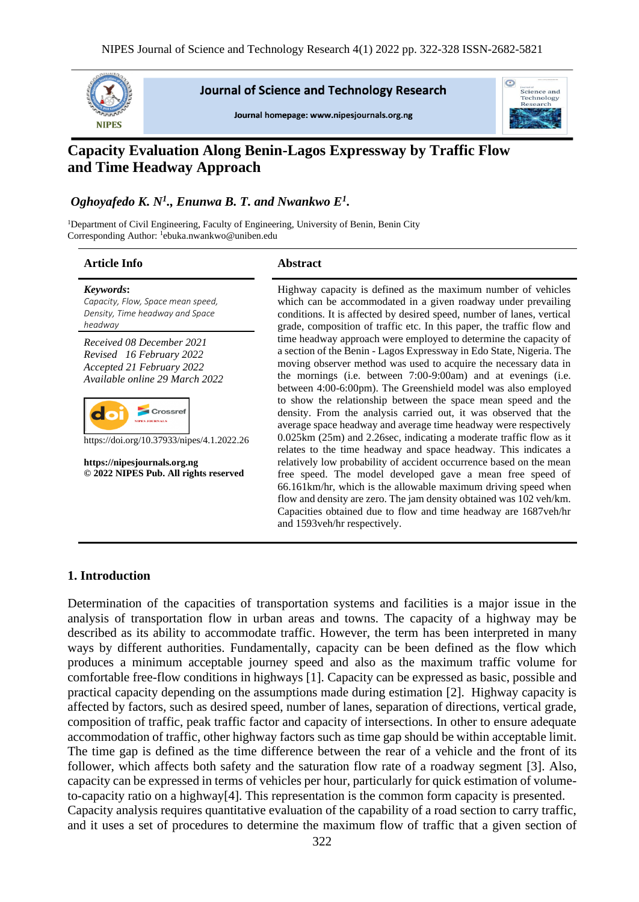

### **Journal of Science and Technology Research**

Journal homepage: www.nipesjournals.org.ng



# **Capacity Evaluation Along Benin-Lagos Expressway by Traffic Flow and Time Headway Approach**

## *Oghoyafedo K. N<sup>1</sup> ., Enunwa B. T. and Nwankwo E<sup>1</sup> .*

<sup>1</sup>Department of Civil Engineering, Faculty of Engineering, University of Benin, Benin City Corresponding Author: <sup>1</sup>ebuka.nwankwo@uniben.edu

### **Article Info Abstract**

*Keywords***:** *Capacity, Flow, Space mean speed, Density, Time headway and Space headway*

*Received 08 December 2021 Revised 16 February 2022 Accepted 21 February 2022 Available online 29 March 2022*



https://doi.org/10.37933/nipes/4.1.2022.26

**https://nipesjournals.org.ng © 2022 NIPES Pub. All rights reserved** Highway capacity is defined as the maximum number of vehicles which can be accommodated in a given roadway under prevailing conditions. It is affected by desired speed, number of lanes, vertical grade, composition of traffic etc. In this paper, the traffic flow and time headway approach were employed to determine the capacity of a section of the Benin - Lagos Expressway in Edo State, Nigeria. The moving observer method was used to acquire the necessary data in the mornings (i.e. between 7:00-9:00am) and at evenings (i.e. between 4:00-6:00pm). The Greenshield model was also employed to show the relationship between the space mean speed and the density. From the analysis carried out, it was observed that the average space headway and average time headway were respectively 0.025km (25m) and 2.26sec, indicating a moderate traffic flow as it relates to the time headway and space headway. This indicates a relatively low probability of accident occurrence based on the mean free speed. The model developed gave a mean free speed of 66.161km/hr, which is the allowable maximum driving speed when flow and density are zero. The jam density obtained was 102 veh/km. Capacities obtained due to flow and time headway are 1687veh/hr and 1593veh/hr respectively.

## **1. Introduction**

Determination of the capacities of transportation systems and facilities is a major issue in the analysis of transportation flow in urban areas and towns. The capacity of a highway may be described as its ability to accommodate traffic. However, the term has been interpreted in many ways by different authorities. Fundamentally, capacity can be been defined as the flow which produces a minimum acceptable journey speed and also as the maximum traffic volume for comfortable free-flow conditions in highways [1]. Capacity can be expressed as basic, possible and practical capacity depending on the assumptions made during estimation [2]. Highway capacity is affected by factors, such as desired speed, number of lanes, separation of directions, vertical grade, composition of traffic, peak traffic factor and capacity of intersections. In other to ensure adequate accommodation of traffic, other highway factors such as time gap should be within acceptable limit. The time gap is defined as the time difference between the rear of a vehicle and the front of its follower, which affects both safety and the saturation flow rate of a roadway segment [3]. Also, capacity can be expressed in terms of vehicles per hour, particularly for quick estimation of volumeto-capacity ratio on a highway[4]. This representation is the common form capacity is presented. Capacity analysis requires quantitative evaluation of the capability of a road section to carry traffic, and it uses a set of procedures to determine the maximum flow of traffic that a given section of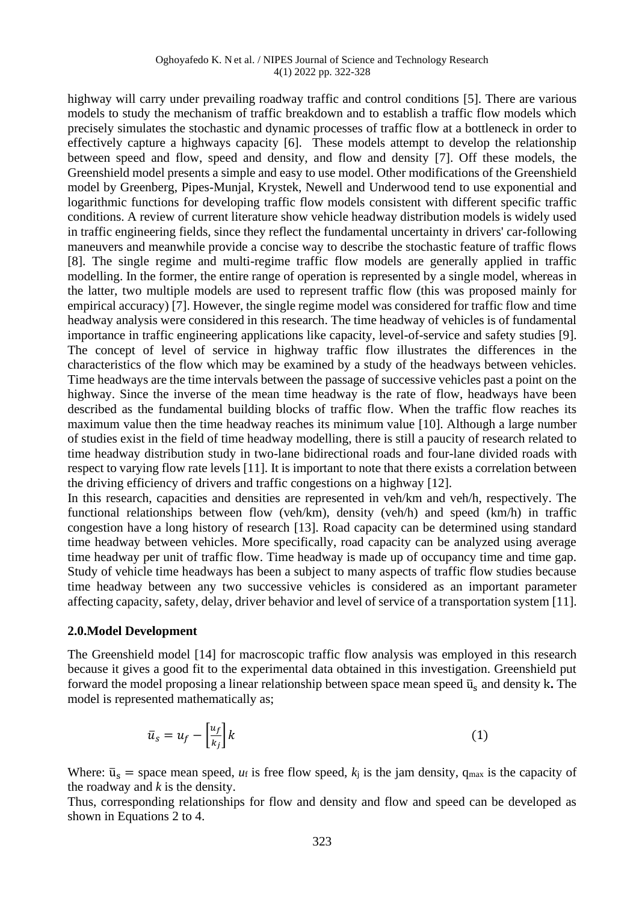#### Oghoyafedo K. N et al. / NIPES Journal of Science and Technology Research 4(1) 2022 pp. 322-328

highway will carry under prevailing roadway traffic and control conditions [5]. There are various models to study the mechanism of traffic breakdown and to establish a traffic flow models which precisely simulates the stochastic and dynamic processes of traffic flow at a bottleneck in order to effectively capture a highways capacity [6]. These models attempt to develop the relationship between speed and flow, speed and density, and flow and density [7]. Off these models, the Greenshield model presents a simple and easy to use model. Other modifications of the Greenshield model by Greenberg, Pipes-Munjal, Krystek, Newell and Underwood tend to use exponential and logarithmic functions for developing traffic flow models consistent with different specific traffic conditions. A review of current literature show vehicle headway distribution models is widely used in traffic engineering fields, since they reflect the fundamental uncertainty in drivers' car-following maneuvers and meanwhile provide a concise way to describe the stochastic feature of traffic flows [8]. The single regime and multi-regime traffic flow models are generally applied in traffic modelling. In the former, the entire range of operation is represented by a single model, whereas in the latter, two multiple models are used to represent traffic flow (this was proposed mainly for empirical accuracy) [7]. However, the single regime model was considered for traffic flow and time headway analysis were considered in this research. The time headway of vehicles is of fundamental importance in traffic engineering applications like capacity, level-of-service and safety studies [9]. The concept of level of service in highway traffic flow illustrates the differences in the characteristics of the flow which may be examined by a study of the headways between vehicles. Time headways are the time intervals between the passage of successive vehicles past a point on the highway. Since the inverse of the mean time headway is the rate of flow, headways have been described as the fundamental building blocks of traffic flow. When the traffic flow reaches its maximum value then the time headway reaches its minimum value [10]. Although a large number of studies exist in the field of time headway modelling, there is still a paucity of research related to time headway distribution study in two-lane bidirectional roads and four-lane divided roads with respect to varying flow rate levels [11]. It is important to note that there exists a correlation between the driving efficiency of drivers and traffic congestions on a highway [12].

In this research, capacities and densities are represented in veh/km and veh/h, respectively. The functional relationships between flow (veh/km), density (veh/h) and speed (km/h) in traffic congestion have a long history of research [13]. Road capacity can be determined using standard time headway between vehicles. More specifically, road capacity can be analyzed using average time headway per unit of traffic flow. Time headway is made up of occupancy time and time gap. Study of vehicle time headways has been a subject to many aspects of traffic flow studies because time headway between any two successive vehicles is considered as an important parameter affecting capacity, safety, delay, driver behavior and level of service of a transportation system [11].

## **2.0.Model Development**

The Greenshield model [14] for macroscopic traffic flow analysis was employed in this research because it gives a good fit to the experimental data obtained in this investigation. Greenshield put forward the model proposing a linear relationship between space mean speed  $\bar{u}_s$  and density k. The model is represented mathematically as;

$$
\bar{u}_s = u_f - \left[\frac{u_f}{k_j}\right]k\tag{1}
$$

Where:  $\bar{u}_s$  = space mean speed,  $u_f$  is free flow speed,  $k_j$  is the jam density,  $q_{max}$  is the capacity of the roadway and *k* is the density.

Thus, corresponding relationships for flow and density and flow and speed can be developed as shown in Equations 2 to 4.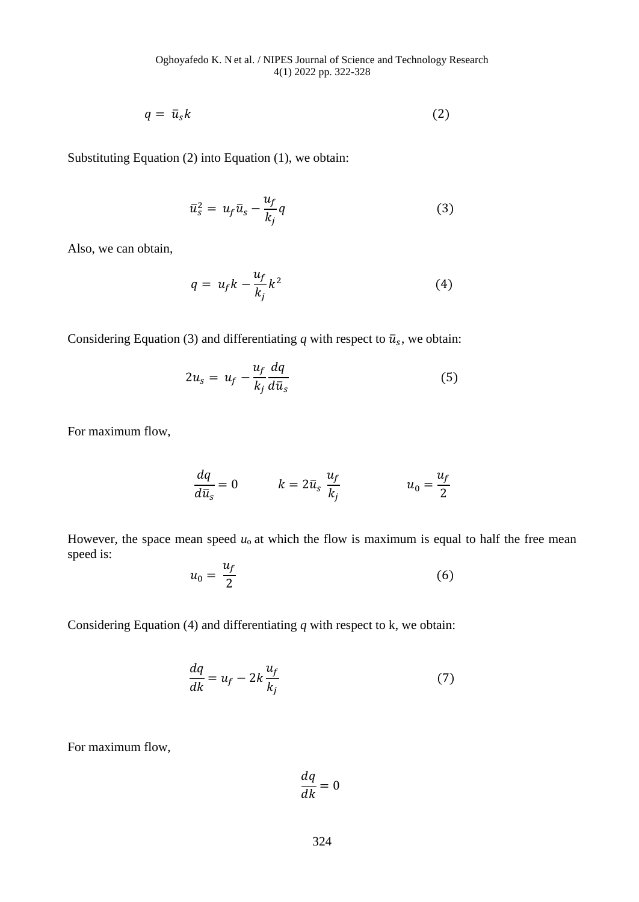$$
q = \bar{u}_s k \tag{2}
$$

Substituting Equation (2) into Equation (1), we obtain:

$$
\bar{u}_s^2 = u_f \bar{u}_s - \frac{u_f}{k_j} q \tag{3}
$$

Also, we can obtain,

$$
q = u_f k - \frac{u_f}{k_j} k^2 \tag{4}
$$

Considering Equation (3) and differentiating  $q$  with respect to  $\bar{u}_s$ , we obtain:

$$
2u_s = u_f - \frac{u_f}{k_j} \frac{dq}{d\bar{u}_s} \tag{5}
$$

For maximum flow,

$$
\frac{dq}{d\bar{u}_s} = 0 \qquad k = 2\bar{u}_s \frac{u_f}{k_f} \qquad u_0 = \frac{u_f}{2}
$$

However, the space mean speed  $u_0$  at which the flow is maximum is equal to half the free mean speed is:

$$
u_0 = \frac{u_f}{2} \tag{6}
$$

Considering Equation (4) and differentiating *q* with respect to k, we obtain:

$$
\frac{dq}{dk} = u_f - 2k \frac{u_f}{k_j} \tag{7}
$$

For maximum flow,

$$
\frac{dq}{dk} = 0
$$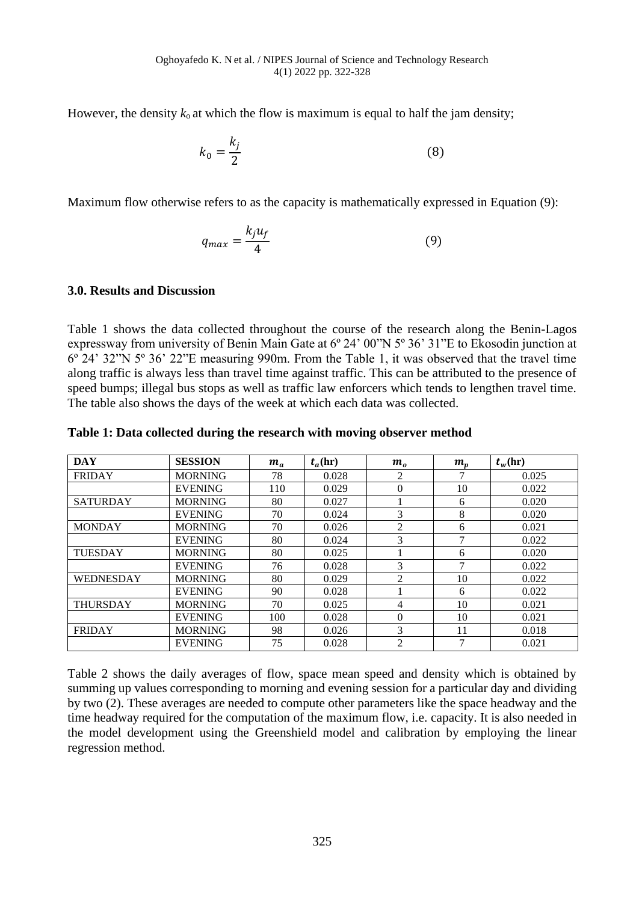However, the density  $k_0$  at which the flow is maximum is equal to half the jam density;

$$
k_0 = \frac{k_j}{2} \tag{8}
$$

Maximum flow otherwise refers to as the capacity is mathematically expressed in Equation (9):

$$
q_{max} = \frac{k_j u_f}{4} \tag{9}
$$

## **3.0. Results and Discussion**

Table 1 shows the data collected throughout the course of the research along the Benin-Lagos expressway from university of Benin Main Gate at 6º 24' 00"N 5º 36' 31"E to Ekosodin junction at 6º 24' 32"N 5º 36' 22"E measuring 990m. From the Table 1, it was observed that the travel time along traffic is always less than travel time against traffic. This can be attributed to the presence of speed bumps; illegal bus stops as well as traffic law enforcers which tends to lengthen travel time. The table also shows the days of the week at which each data was collected.

| Table 1: Data collected during the research with moving observer method |  |  |
|-------------------------------------------------------------------------|--|--|
|-------------------------------------------------------------------------|--|--|

| <b>DAY</b>       | <b>SESSION</b> | $m_a$ | $t_a$ (hr) | m <sub>o</sub> | $m_{n}$ | $t_w$ (hr) |
|------------------|----------------|-------|------------|----------------|---------|------------|
| <b>FRIDAY</b>    | <b>MORNING</b> | 78    | 0.028      | 2              |         | 0.025      |
|                  | <b>EVENING</b> | 110   | 0.029      | $\Omega$       | 10      | 0.022      |
| <b>SATURDAY</b>  | <b>MORNING</b> | 80    | 0.027      |                | 6       | 0.020      |
|                  | <b>EVENING</b> | 70    | 0.024      | 3              | 8       | 0.020      |
| <b>MONDAY</b>    | <b>MORNING</b> | 70    | 0.026      | $\overline{2}$ | 6       | 0.021      |
|                  | <b>EVENING</b> | 80    | 0.024      | 3              | 7       | 0.022      |
| <b>TUESDAY</b>   | <b>MORNING</b> | 80    | 0.025      |                | 6       | 0.020      |
|                  | <b>EVENING</b> | 76    | 0.028      | 3              | 7       | 0.022      |
| <b>WEDNESDAY</b> | <b>MORNING</b> | 80    | 0.029      | 2              | 10      | 0.022      |
|                  | <b>EVENING</b> | 90    | 0.028      |                | 6       | 0.022      |
| <b>THURSDAY</b>  | <b>MORNING</b> | 70    | 0.025      | 4              | 10      | 0.021      |
|                  | <b>EVENING</b> | 100   | 0.028      | $\Omega$       | 10      | 0.021      |
| <b>FRIDAY</b>    | <b>MORNING</b> | 98    | 0.026      | 3              | 11      | 0.018      |
|                  | <b>EVENING</b> | 75    | 0.028      | 2              | 7       | 0.021      |

Table 2 shows the daily averages of flow, space mean speed and density which is obtained by summing up values corresponding to morning and evening session for a particular day and dividing by two (2). These averages are needed to compute other parameters like the space headway and the time headway required for the computation of the maximum flow, i.e. capacity. It is also needed in the model development using the Greenshield model and calibration by employing the linear regression method.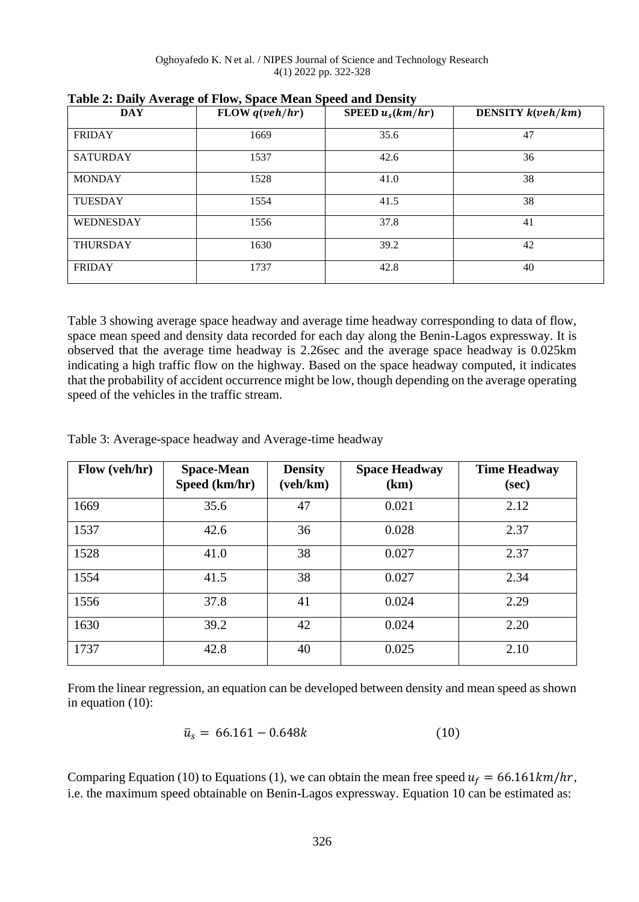| <b>DAY</b>       | FLOW q(veh/hr) | SPEED $u_s(km/hr)$ | DENSITY $k(veh/km)$ |
|------------------|----------------|--------------------|---------------------|
| <b>FRIDAY</b>    | 1669           | 35.6               | 47                  |
| <b>SATURDAY</b>  | 1537           | 42.6               | 36                  |
| <b>MONDAY</b>    | 1528           | 41.0               | 38                  |
| <b>TUESDAY</b>   | 1554           | 41.5               | 38                  |
| <b>WEDNESDAY</b> | 1556           | 37.8               | 41                  |
| <b>THURSDAY</b>  | 1630           | 39.2               | 42                  |
| <b>FRIDAY</b>    | 1737           | 42.8               | 40                  |

**Table 2: Daily Average of Flow, Space Mean Speed and Density**

Table 3 showing average space headway and average time headway corresponding to data of flow, space mean speed and density data recorded for each day along the Benin-Lagos expressway. It is observed that the average time headway is 2.26sec and the average space headway is 0.025km indicating a high traffic flow on the highway. Based on the space headway computed, it indicates that the probability of accident occurrence might be low, though depending on the average operating speed of the vehicles in the traffic stream.

Table 3: Average-space headway and Average-time headway

| Flow (veh/hr) | <b>Space-Mean</b><br>Speed (km/hr) | <b>Density</b><br>(veh/km) | <b>Space Headway</b><br>(km) | <b>Time Headway</b><br>(sec) |
|---------------|------------------------------------|----------------------------|------------------------------|------------------------------|
| 1669          | 35.6                               | 47                         | 0.021                        | 2.12                         |
| 1537          | 42.6                               | 36                         | 0.028                        | 2.37                         |
| 1528          | 41.0                               | 38                         | 0.027                        | 2.37                         |
| 1554          | 41.5                               | 38                         | 0.027                        | 2.34                         |
| 1556          | 37.8                               | 41                         | 0.024                        | 2.29                         |
| 1630          | 39.2                               | 42                         | 0.024                        | 2.20                         |
| 1737          | 42.8                               | 40                         | 0.025                        | 2.10                         |

From the linear regression, an equation can be developed between density and mean speed as shown in equation (10):

$$
\bar{u}_s = 66.161 - 0.648k \tag{10}
$$

Comparing Equation (10) to Equations (1), we can obtain the mean free speed  $u_f = 66.161 \frac{km}{hr}$ , i.e. the maximum speed obtainable on Benin-Lagos expressway. Equation 10 can be estimated as: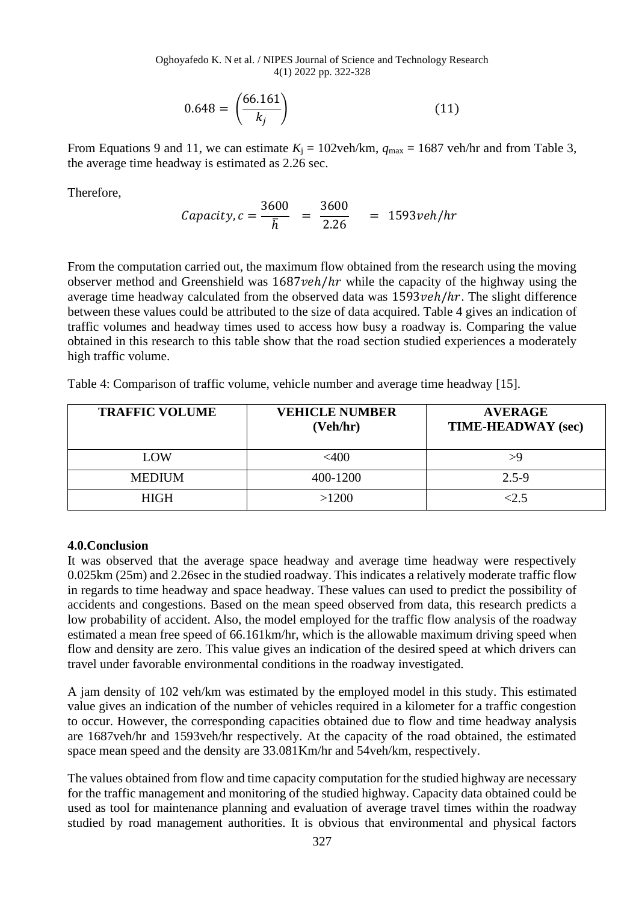Oghoyafedo K. N et al. / NIPES Journal of Science and Technology Research 4(1) 2022 pp. 322-328

$$
0.648 = \left(\frac{66.161}{k_j}\right) \tag{11}
$$

From Equations 9 and 11, we can estimate  $K_i = 102$ veh/km,  $q_{max} = 1687$  veh/hr and from Table 3, the average time headway is estimated as 2.26 sec.

Therefore,

*Capacity*, 
$$
c = \frac{3600}{\bar{h}} = \frac{3600}{2.26} = 1593veh/hr
$$

From the computation carried out, the maximum flow obtained from the research using the moving observer method and Greenshield was  $1687veh/hr$  while the capacity of the highway using the average time headway calculated from the observed data was  $1593veh/hr$ . The slight difference between these values could be attributed to the size of data acquired. Table 4 gives an indication of traffic volumes and headway times used to access how busy a roadway is. Comparing the value obtained in this research to this table show that the road section studied experiences a moderately high traffic volume.

Table 4: Comparison of traffic volume, vehicle number and average time headway [15].

| <b>TRAFFIC VOLUME</b> | <b>VEHICLE NUMBER</b><br>(Veh/hr) | <b>AVERAGE</b><br><b>TIME-HEADWAY</b> (sec) |
|-----------------------|-----------------------------------|---------------------------------------------|
| <b>LOW</b>            | <400                              | >9                                          |
| <b>MEDIUM</b>         | 400-1200                          | $2.5 - 9$                                   |
| <b>HIGH</b>           | >1200                             | 2.5                                         |

## **4.0.Conclusion**

It was observed that the average space headway and average time headway were respectively 0.025km (25m) and 2.26sec in the studied roadway. This indicates a relatively moderate traffic flow in regards to time headway and space headway. These values can used to predict the possibility of accidents and congestions. Based on the mean speed observed from data, this research predicts a low probability of accident. Also, the model employed for the traffic flow analysis of the roadway estimated a mean free speed of 66.161km/hr, which is the allowable maximum driving speed when flow and density are zero. This value gives an indication of the desired speed at which drivers can travel under favorable environmental conditions in the roadway investigated.

A jam density of 102 veh/km was estimated by the employed model in this study. This estimated value gives an indication of the number of vehicles required in a kilometer for a traffic congestion to occur. However, the corresponding capacities obtained due to flow and time headway analysis are 1687veh/hr and 1593veh/hr respectively. At the capacity of the road obtained, the estimated space mean speed and the density are 33.081Km/hr and 54veh/km, respectively.

The values obtained from flow and time capacity computation for the studied highway are necessary for the traffic management and monitoring of the studied highway. Capacity data obtained could be used as tool for maintenance planning and evaluation of average travel times within the roadway studied by road management authorities. It is obvious that environmental and physical factors